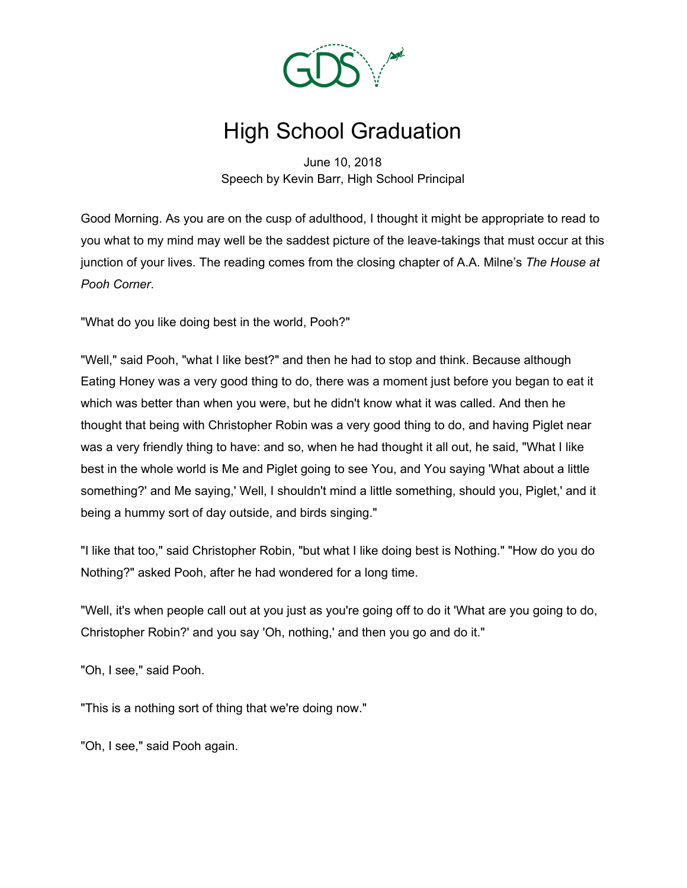

## High School Graduation

June 10, 2018 Speech by Kevin Barr, High School Principal

Good Morning. As you are on the cusp of adulthood, I thought it might be appropriate to read to you what to my mind may well be the saddest picture of the leave-takings that must occur at this junction of your lives. The reading comes from the closing chapter of A.A. Milne's *The House at Pooh Corner*.

"What do you like doing best in the world, Pooh?"

"Well," said Pooh, "what I like best?" and then he had to stop and think. Because although Eating Honey was a very good thing to do, there was a moment just before you began to eat it which was better than when you were, but he didn't know what it was called. And then he thought that being with Christopher Robin was a very good thing to do, and having Piglet near was a very friendly thing to have: and so, when he had thought it all out, he said, "What I like best in the whole world is Me and Piglet going to see You, and You saying 'What about a little something?' and Me saying,' Well, I shouldn't mind a little something, should you, Piglet,' and it being a hummy sort of day outside, and birds singing."

"I like that too," said Christopher Robin, "but what I like doing best is Nothing." "How do you do Nothing?" asked Pooh, after he had wondered for a long time.

"Well, it's when people call out at you just as you're going off to do it 'What are you going to do, Christopher Robin?' and you say 'Oh, nothing,' and then you go and do it."

"Oh, I see," said Pooh.

"This is a nothing sort of thing that we're doing now."

"Oh, I see," said Pooh again.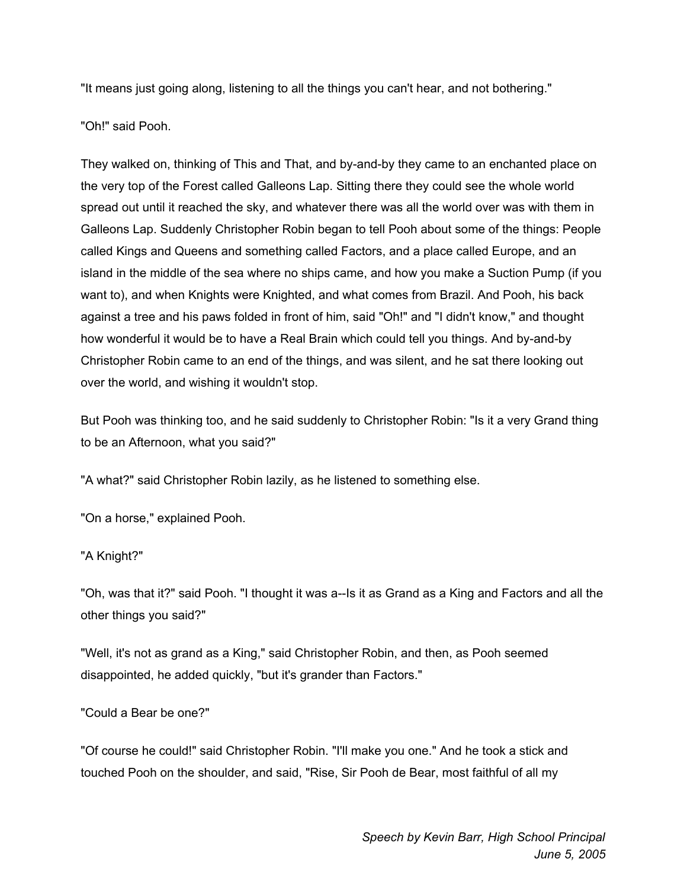"It means just going along, listening to all the things you can't hear, and not bothering."

"Oh!" said Pooh.

They walked on, thinking of This and That, and by-and-by they came to an enchanted place on the very top of the Forest called Galleons Lap. Sitting there they could see the whole world spread out until it reached the sky, and whatever there was all the world over was with them in Galleons Lap. Suddenly Christopher Robin began to tell Pooh about some of the things: People called Kings and Queens and something called Factors, and a place called Europe, and an island in the middle of the sea where no ships came, and how you make a Suction Pump (if you want to), and when Knights were Knighted, and what comes from Brazil. And Pooh, his back against a tree and his paws folded in front of him, said "Oh!" and "I didn't know," and thought how wonderful it would be to have a Real Brain which could tell you things. And by-and-by Christopher Robin came to an end of the things, and was silent, and he sat there looking out over the world, and wishing it wouldn't stop.

But Pooh was thinking too, and he said suddenly to Christopher Robin: "Is it a very Grand thing to be an Afternoon, what you said?"

"A what?" said Christopher Robin lazily, as he listened to something else.

"On a horse," explained Pooh.

## "A Knight?"

"Oh, was that it?" said Pooh. "I thought it was a--Is it as Grand as a King and Factors and all the other things you said?"

"Well, it's not as grand as a King," said Christopher Robin, and then, as Pooh seemed disappointed, he added quickly, "but it's grander than Factors."

## "Could a Bear be one?"

"Of course he could!" said Christopher Robin. "I'll make you one." And he took a stick and touched Pooh on the shoulder, and said, "Rise, Sir Pooh de Bear, most faithful of all my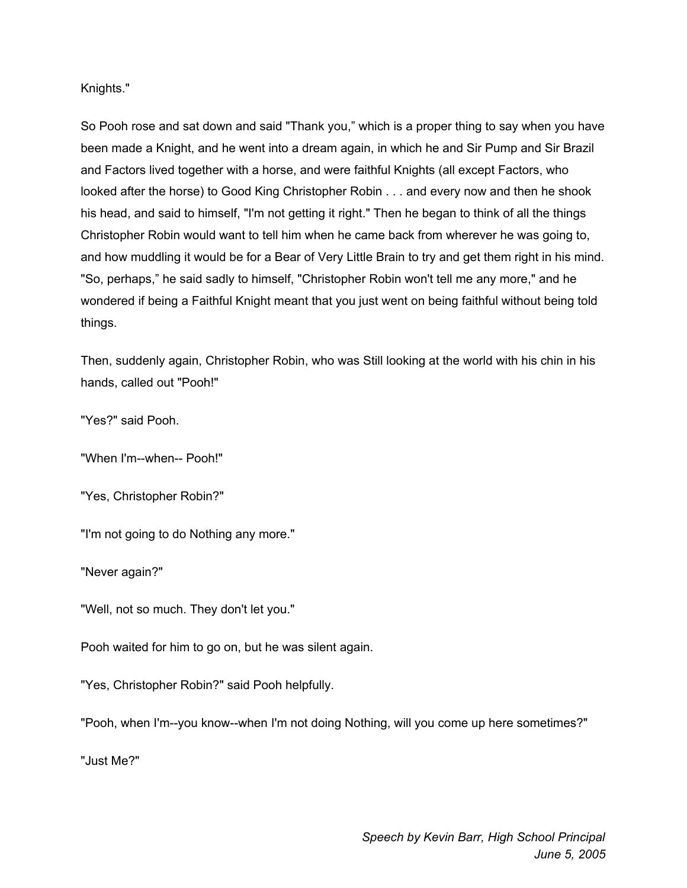Knights."

So Pooh rose and sat down and said "Thank you," which is a proper thing to say when you have been made a Knight, and he went into a dream again, in which he and Sir Pump and Sir Brazil and Factors lived together with a horse, and were faithful Knights (all except Factors, who looked after the horse) to Good King Christopher Robin . . . and every now and then he shook his head, and said to himself, "I'm not getting it right." Then he began to think of all the things Christopher Robin would want to tell him when he came back from wherever he was going to, and how muddling it would be for a Bear of Very Little Brain to try and get them right in his mind. "So, perhaps," he said sadly to himself, "Christopher Robin won't tell me any more," and he wondered if being a Faithful Knight meant that you just went on being faithful without being told things.

Then, suddenly again, Christopher Robin, who was Still looking at the world with his chin in his hands, called out "Pooh!"

"Yes?" said Pooh.

"When I'm--when-- Pooh!"

"Yes, Christopher Robin?"

"I'm not going to do Nothing any more."

"Never again?"

"Well, not so much. They don't let you."

Pooh waited for him to go on, but he was silent again.

"Yes, Christopher Robin?" said Pooh helpfully.

"Pooh, when I'm--you know--when I'm not doing Nothing, will you come up here sometimes?"

"Just Me?"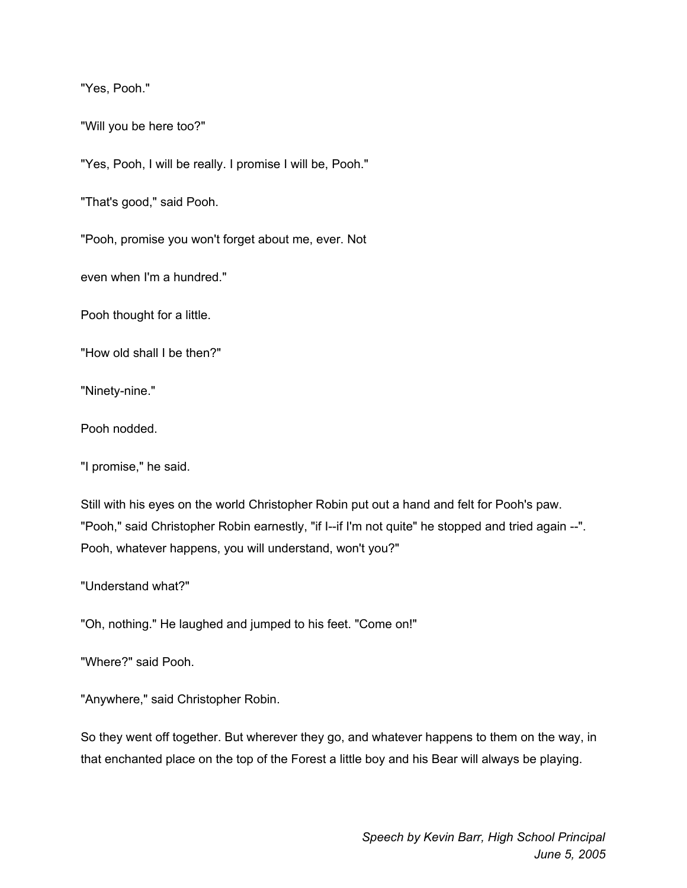"Yes, Pooh."

"Will you be here too?"

"Yes, Pooh, I will be really. I promise I will be, Pooh."

"That's good," said Pooh.

"Pooh, promise you won't forget about me, ever. Not

even when I'm a hundred."

Pooh thought for a little.

"How old shall I be then?"

"Ninety-nine."

Pooh nodded.

"I promise," he said.

Still with his eyes on the world Christopher Robin put out a hand and felt for Pooh's paw. "Pooh," said Christopher Robin earnestly, "if I--if I'm not quite" he stopped and tried again --". Pooh, whatever happens, you will understand, won't you?"

"Understand what?"

"Oh, nothing." He laughed and jumped to his feet. "Come on!"

"Where?" said Pooh.

"Anywhere," said Christopher Robin.

So they went off together. But wherever they go, and whatever happens to them on the way, in that enchanted place on the top of the Forest a little boy and his Bear will always be playing.